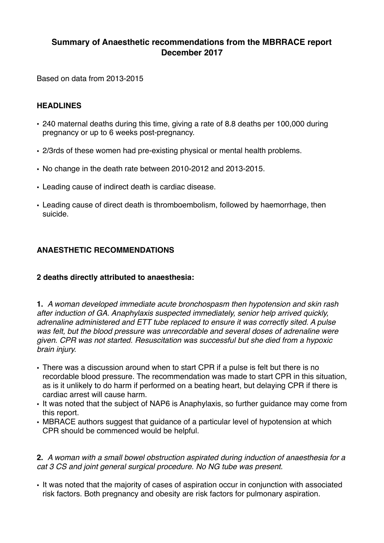# **Summary of Anaesthetic recommendations from the MBRRACE report December 2017**

Based on data from 2013-2015

#### **HEADLINES**

- 240 maternal deaths during this time, giving a rate of 8.8 deaths per 100,000 during pregnancy or up to 6 weeks post-pregnancy.
- 2/3rds of these women had pre-existing physical or mental health problems.
- No change in the death rate between 2010-2012 and 2013-2015.
- Leading cause of indirect death is cardiac disease.
- Leading cause of direct death is thromboembolism, followed by haemorrhage, then suicide.

# **ANAESTHETIC RECOMMENDATIONS**

## **2 deaths directly attributed to anaesthesia:**

**1.** *A woman developed immediate acute bronchospasm then hypotension and skin rash after induction of GA. Anaphylaxis suspected immediately, senior help arrived quickly, adrenaline administered and ETT tube replaced to ensure it was correctly sited. A pulse was felt, but the blood pressure was unrecordable and several doses of adrenaline were given. CPR was not started. Resuscitation was successful but she died from a hypoxic brain injury.*

- There was a discussion around when to start CPR if a pulse is felt but there is no recordable blood pressure. The recommendation was made to start CPR in this situation, as is it unlikely to do harm if performed on a beating heart, but delaying CPR if there is cardiac arrest will cause harm.
- It was noted that the subject of NAP6 is Anaphylaxis, so further guidance may come from this report.
- MBRACE authors suggest that guidance of a particular level of hypotension at which CPR should be commenced would be helpful.

**2.** *A woman with a small bowel obstruction aspirated during induction of anaesthesia for a cat 3 CS and joint general surgical procedure. No NG tube was present.*

• It was noted that the majority of cases of aspiration occur in conjunction with associated risk factors. Both pregnancy and obesity are risk factors for pulmonary aspiration.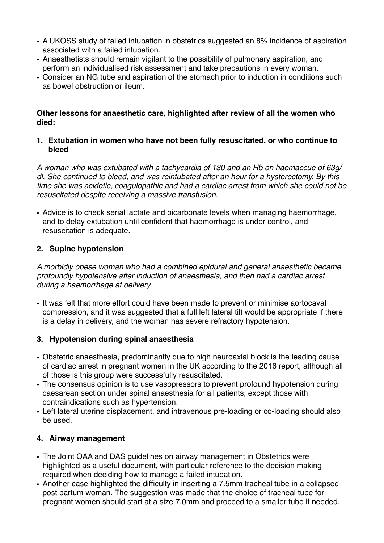- A UKOSS study of failed intubation in obstetrics suggested an 8% incidence of aspiration associated with a failed intubation.
- Anaesthetists should remain vigilant to the possibility of pulmonary aspiration, and perform an individualised risk assessment and take precautions in every woman.
- Consider an NG tube and aspiration of the stomach prior to induction in conditions such as bowel obstruction or ileum.

#### **Other lessons for anaesthetic care, highlighted after review of all the women who died:**

#### **1. Extubation in women who have not been fully resuscitated, or who continue to bleed**

*A woman who was extubated with a tachycardia of 130 and an Hb on haemaccue of 63g/ dl. She continued to bleed, and was reintubated after an hour for a hysterectomy. By this time she was acidotic, coagulopathic and had a cardiac arrest from which she could not be resuscitated despite receiving a massive transfusion.*

• Advice is to check serial lactate and bicarbonate levels when managing haemorrhage, and to delay extubation until confident that haemorrhage is under control, and resuscitation is adequate.

# **2. Supine hypotension**

*A morbidly obese woman who had a combined epidural and general anaesthetic became profoundly hypotensive after induction of anaesthesia, and then had a cardiac arrest during a haemorrhage at delivery.*

• It was felt that more effort could have been made to prevent or minimise aortocaval compression, and it was suggested that a full left lateral tilt would be appropriate if there is a delay in delivery, and the woman has severe refractory hypotension.

## **3. Hypotension during spinal anaesthesia**

- Obstetric anaesthesia, predominantly due to high neuroaxial block is the leading cause of cardiac arrest in pregnant women in the UK according to the 2016 report, although all of those is this group were successfully resuscitated.
- The consensus opinion is to use vasopressors to prevent profound hypotension during caesarean section under spinal anaesthesia for all patients, except those with contraindications such as hypertension.
- Left lateral uterine displacement, and intravenous pre-loading or co-loading should also be used.

## **4. Airway management**

- The Joint OAA and DAS guidelines on airway management in Obstetrics were highlighted as a useful document, with particular reference to the decision making required when deciding how to manage a failed intubation.
- Another case highlighted the difficulty in inserting a 7.5mm tracheal tube in a collapsed post partum woman. The suggestion was made that the choice of tracheal tube for pregnant women should start at a size 7.0mm and proceed to a smaller tube if needed.